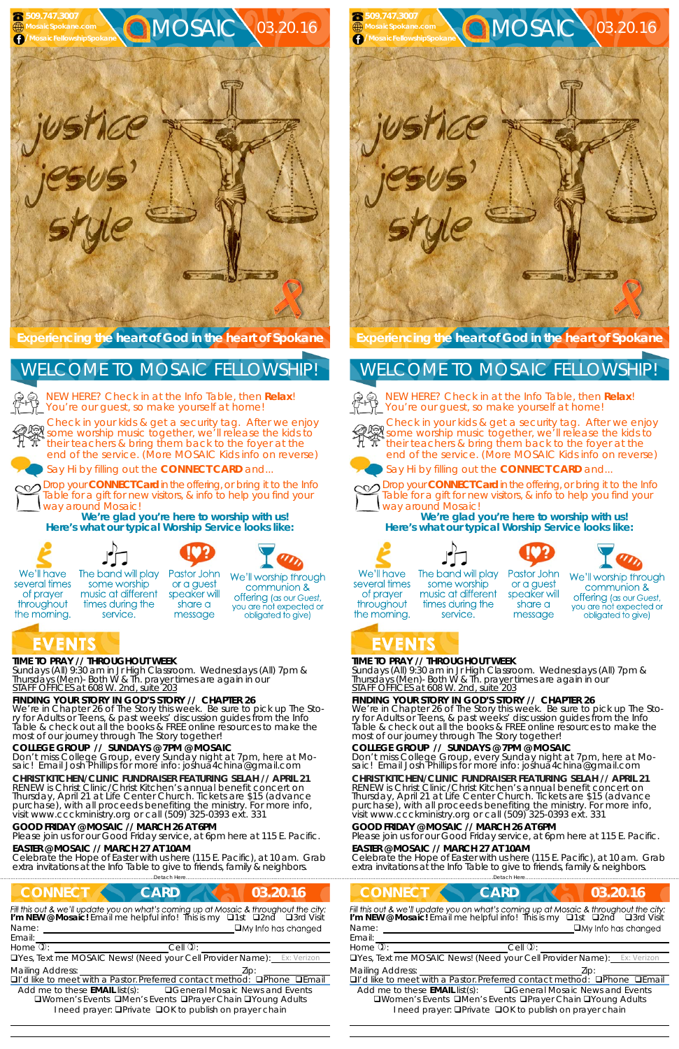# **TIME TO PRAY // THROUGHOUT WEEK**

*Sundays* (All) 9:30 am in Jr High Classroom. *Wednesdays* (All) 7pm & *Thursdays* (Men)- Both W & Th. prayer times are again in our *STAFF OFFICES at 608 W. 2nd, suite 203*

# **FINDING YOUR STORY IN GOD'S STORY // CHAPTER 26**

We're in Chapter 26 of The Story this week. Be sure to pick up The Story for Adults or Teens, & past weeks' discussion guides from the Info<br>Table & check out all the books & FREE online resources to make the most of our journey through The Story together!

# **COLLEGE GROUP // SUNDAYS @ 7PM @ MOSAIC**

Don't miss College Group, every Sunday night at 7pm, here at Mo- saic! Email Josh Phillips for more info: joshua4china@gmail.com

#### **CHRIST KITCHEN/CLINIC FUNDRAISER FEATURING SELAH // APRIL 21**

NEW HERE? Check in at the Info Table, then **Relax**! You're our guest, so make yourself at home!

RENEW is Christ Clinic/Christ Kitchen's annual benefit concert on Thursday, April 21 at Life Center Church. Tickets are \$15 (advance purchase), with all proceeds benefiting the ministry. For more info, visit www.ccckministry.org or call (509) 325-0393 ext. 331

#### **GOOD FRIDAY @ MOSAIC // MARCH 26 AT 6PM**

Please join us for our Good Friday service, at 6pm here at 115 E. Pacific.

#### **EASTER @ MOSAIC // MARCH 27 AT 10AM**

Celebrate the Hope of Easter with us here (115 E. Pacific), at 10 am. Grab extra invitations at the Info Table to give to friends, family & neighbors.

**Experiencing the heart of God in the heart of Spokane** 

Check in your kids & get a security tag. After we enjoy Streck in your kids & get a security tag. After we enjoy<br>Some worship music together, we'll release the kids to their teachers & bring them back to the foyer at the end of the service. (More MOSAIC Kids info on reverse)



Say Hi by filling out the **CONNECT CARD** and...

Drop your **CONNECT Card** in the offering, or bring it to the Info Table for a gift for new visitors, & info to help you find your way around Mosaic!

|                                  | Detach Here                                                                                                                       |                                                                                                                                                                          |
|----------------------------------|-----------------------------------------------------------------------------------------------------------------------------------|--------------------------------------------------------------------------------------------------------------------------------------------------------------------------|
| <b>CONNECT</b>                   | <b>CARD</b>                                                                                                                       | 03.20.16                                                                                                                                                                 |
|                                  |                                                                                                                                   | Fill this out & we'll update you on what's coming up at Mosaic & throughout the city:<br>I'm NEW @ Mosaic! Email me helpful info! This is my <b>Q1st Q2nd Q3rd Visit</b> |
| Name:                            |                                                                                                                                   | $\Box$ My Info has changed                                                                                                                                               |
| Email:                           |                                                                                                                                   |                                                                                                                                                                          |
| Home $\overline{v}$ :            | $Cell$ $\mathcal{D}$ :                                                                                                            |                                                                                                                                                                          |
|                                  |                                                                                                                                   | <b>OYes, Text me MOSAIC News! (Need your Cell Provider Name):</b> Ex: Verizon                                                                                            |
| <b>Mailing Address:</b>          |                                                                                                                                   | Lip:                                                                                                                                                                     |
|                                  |                                                                                                                                   | $\Box$ l'd like to meet with a Pastor. Preferred contact method: $\Box$ Phone $\Box$ Email                                                                               |
| Add me to these $EMAIL$ list(s): | <b>QWomen's Events QMen's Events QPrayer Chain QYoung Adults</b><br>I need prayer: <b>OPrivate OOK</b> to publish on prayer chain | <b>□ General Mosaic News and Events</b>                                                                                                                                  |
|                                  |                                                                                                                                   |                                                                                                                                                                          |

**We're glad you're here to worship with us! Here's what our typical Worship Service looks like:** 



several times

of prayer

throughout

the morning.

EVENTS

NEW HERE? Check in at the Info Table, then **Relax**! You're our guest, so make yourself at home!



# WELCOME TO MOSAIC FELLOWSHIP!





The band will play some worship music at different times during the service.

Pastor John or a guest speaker will share a message

We'll worship through communion & offering (as our Guest, you are not expected or obligated to give)

# **TIME TO PRAY // THROUGHOUT WEEK**

*Sundays* (All) 9:30 am in Jr High Classroom. *Wednesdays* (All) 7pm & *Thursdays* (Men)- Both W & Th. prayer times are again in our *STAFF OFFICES at 608 W. 2nd, suite 203*

### **FINDING YOUR STORY IN GOD'S STORY // CHAPTER 26**

We're in Chapter 26 of The Story this week. Be sure to pick up The Story for Adults or Teens, & past weeks' discussion guides from the Info<br>Table & check out all the books & FREE online resources to make the most of our journey through The Story together!

# **COLLEGE GROUP // SUNDAYS @ 7PM @ MOSAIC**

Don't miss College Group, every Sunday night at 7pm, here at Mo- saic! Email Josh Phillips for more info: joshua4china@gmail.com

#### **CHRIST KITCHEN/CLINIC FUNDRAISER FEATURING SELAH // APRIL 21**

RENEW is Christ Clinic/Christ Kitchen's annual benefit concert on Thursday, April 21 at Life Center Church. Tickets are \$15 (advance purchase), with all proceeds benefiting the ministry. For more info, visit www.ccckministry.org or call (509) 325-0393 ext. 331

#### **GOOD FRIDAY @ MOSAIC // MARCH 26 AT 6PM**

Please join us for our Good Friday service, at 6pm here at 115 E. Pacific.

#### **EASTER @ MOSAIC // MARCH 27 AT 10AM**

Celebrate the Hope of Easter with us here (115 E. Pacific), at 10 am. Grab extra invitations at the Info Table to give to friends, family & neighbors.

**Experiencing the heart of God in the heart of Spokane** 

Check in your kids & get a security tag. After we enjoy some worship music together, we'll release the kids to their teachers & bring them back to the foyer at the end of the service. (More MOSAIC Kids info on reverse)





Say Hi by filling out the **CONNECT CARD** and...



Drop your **CONNECT Card** in the offering, or bring it to the Info Table for a gift for new visitors, & info to help you find your way around Mosaic!

|                                  | Detach Here                                                                                                                                                                         |                                         |
|----------------------------------|-------------------------------------------------------------------------------------------------------------------------------------------------------------------------------------|-----------------------------------------|
| <b>CONNECT</b>                   | <b>CARD</b>                                                                                                                                                                         | 03.20.16                                |
|                                  | Fill this out & we'll update you on what's coming up at Mosaic & throughout the city:<br>I'm NEW @ Mosaic! Email me helpful info! This is my $\Box$ 1st $\Box$ 2nd $\Box$ 3rd Visit |                                         |
| Name:                            |                                                                                                                                                                                     | $\Box$ My Info has changed              |
| Email:                           |                                                                                                                                                                                     |                                         |
| Home $\overline{v}$ :            | $Cell$ $Q$                                                                                                                                                                          |                                         |
|                                  | <b>OYes, Text me MOSAIC News! (Need your Cell Provider Name):</b> Ex: Verizon                                                                                                       |                                         |
| <b>Mailing Address:</b>          |                                                                                                                                                                                     | Lip:                                    |
|                                  | $\Box$ I'd like to meet with a Pastor Preferred contact method: $\Box$ Phone $\Box$ Email                                                                                           |                                         |
| Add me to these $EMAIL$ list(s): | □Women's Events □Men's Events □Prayer Chain □Young Adults<br>I need prayer: <b>QPrivate QOK to publish on prayer chain</b>                                                          | <b>□ General Mosaic News and Events</b> |

**We're glad you're here to worship with us! Here's what our typical Worship Service looks like:** 











We'll have several times of prayer throughout the morning.

# WELCOME TO MOSAIC FELLOWSHIP!



The band will play some worship music at different times during the service.

Pastor John or a guest speaker will share a message



# EVENTS